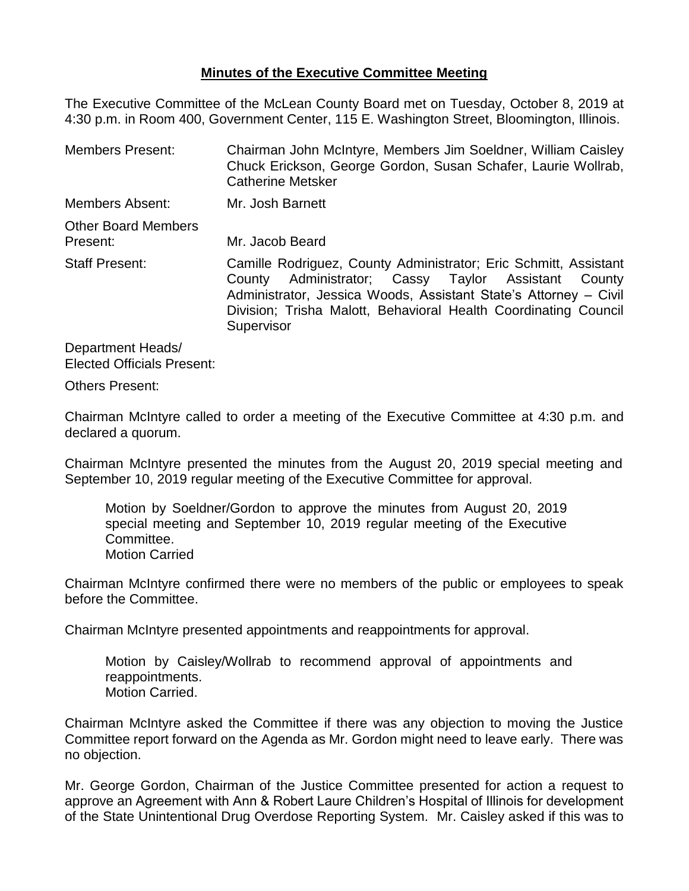# **Minutes of the Executive Committee Meeting**

The Executive Committee of the McLean County Board met on Tuesday, October 8, 2019 at 4:30 p.m. in Room 400, Government Center, 115 E. Washington Street, Bloomington, Illinois.

Members Present: Chairman John McIntyre, Members Jim Soeldner, William Caisley Chuck Erickson, George Gordon, Susan Schafer, Laurie Wollrab, Catherine Metsker Members Absent: Mr. Josh Barnett Other Board Members Present: Mr. Jacob Beard Staff Present: Camille Rodriguez, County Administrator; Eric Schmitt, Assistant County Administrator; Cassy Taylor Assistant County Administrator, Jessica Woods, Assistant State's Attorney – Civil Division; Trisha Malott, Behavioral Health Coordinating Council **Supervisor** 

Department Heads/ Elected Officials Present:

Others Present:

Chairman McIntyre called to order a meeting of the Executive Committee at 4:30 p.m. and declared a quorum.

Chairman McIntyre presented the minutes from the August 20, 2019 special meeting and September 10, 2019 regular meeting of the Executive Committee for approval.

Motion by Soeldner/Gordon to approve the minutes from August 20, 2019 special meeting and September 10, 2019 regular meeting of the Executive Committee. Motion Carried

Chairman McIntyre confirmed there were no members of the public or employees to speak before the Committee.

Chairman McIntyre presented appointments and reappointments for approval.

Motion by Caisley/Wollrab to recommend approval of appointments and reappointments. Motion Carried.

Chairman McIntyre asked the Committee if there was any objection to moving the Justice Committee report forward on the Agenda as Mr. Gordon might need to leave early. There was no objection.

Mr. George Gordon, Chairman of the Justice Committee presented for action a request to approve an Agreement with Ann & Robert Laure Children's Hospital of Illinois for development of the State Unintentional Drug Overdose Reporting System. Mr. Caisley asked if this was to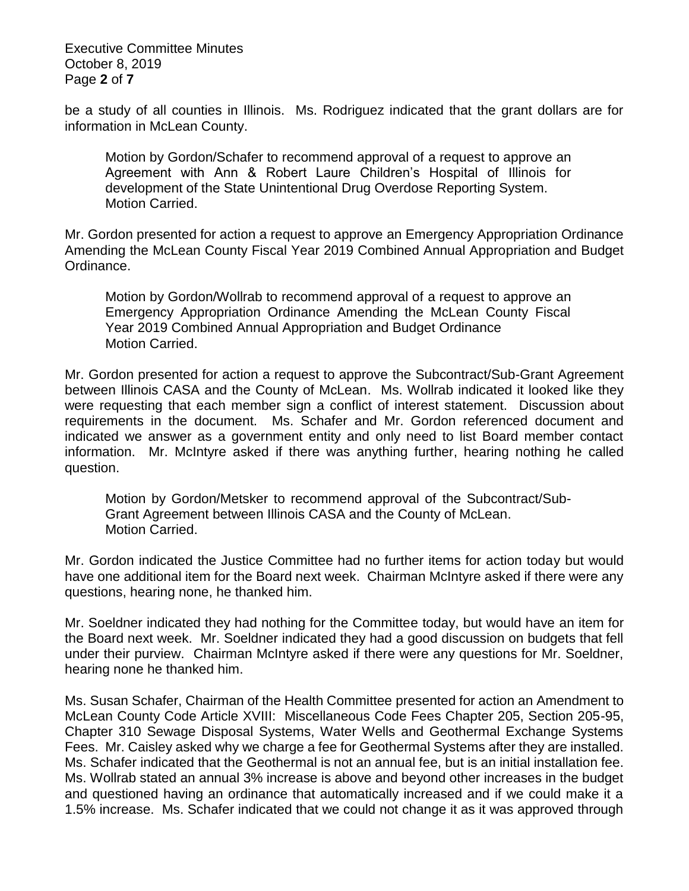Executive Committee Minutes October 8, 2019 Page **2** of **7**

be a study of all counties in Illinois. Ms. Rodriguez indicated that the grant dollars are for information in McLean County.

Motion by Gordon/Schafer to recommend approval of a request to approve an Agreement with Ann & Robert Laure Children's Hospital of Illinois for development of the State Unintentional Drug Overdose Reporting System. Motion Carried.

Mr. Gordon presented for action a request to approve an Emergency Appropriation Ordinance Amending the McLean County Fiscal Year 2019 Combined Annual Appropriation and Budget Ordinance.

Motion by Gordon/Wollrab to recommend approval of a request to approve an Emergency Appropriation Ordinance Amending the McLean County Fiscal Year 2019 Combined Annual Appropriation and Budget Ordinance Motion Carried.

Mr. Gordon presented for action a request to approve the Subcontract/Sub-Grant Agreement between Illinois CASA and the County of McLean. Ms. Wollrab indicated it looked like they were requesting that each member sign a conflict of interest statement. Discussion about requirements in the document. Ms. Schafer and Mr. Gordon referenced document and indicated we answer as a government entity and only need to list Board member contact information. Mr. McIntyre asked if there was anything further, hearing nothing he called question.

Motion by Gordon/Metsker to recommend approval of the Subcontract/Sub-Grant Agreement between Illinois CASA and the County of McLean. Motion Carried.

Mr. Gordon indicated the Justice Committee had no further items for action today but would have one additional item for the Board next week. Chairman McIntyre asked if there were any questions, hearing none, he thanked him.

Mr. Soeldner indicated they had nothing for the Committee today, but would have an item for the Board next week. Mr. Soeldner indicated they had a good discussion on budgets that fell under their purview. Chairman McIntyre asked if there were any questions for Mr. Soeldner, hearing none he thanked him.

Ms. Susan Schafer, Chairman of the Health Committee presented for action an Amendment to McLean County Code Article XVIII: Miscellaneous Code Fees Chapter 205, Section 205-95, Chapter 310 Sewage Disposal Systems, Water Wells and Geothermal Exchange Systems Fees. Mr. Caisley asked why we charge a fee for Geothermal Systems after they are installed. Ms. Schafer indicated that the Geothermal is not an annual fee, but is an initial installation fee. Ms. Wollrab stated an annual 3% increase is above and beyond other increases in the budget and questioned having an ordinance that automatically increased and if we could make it a 1.5% increase. Ms. Schafer indicated that we could not change it as it was approved through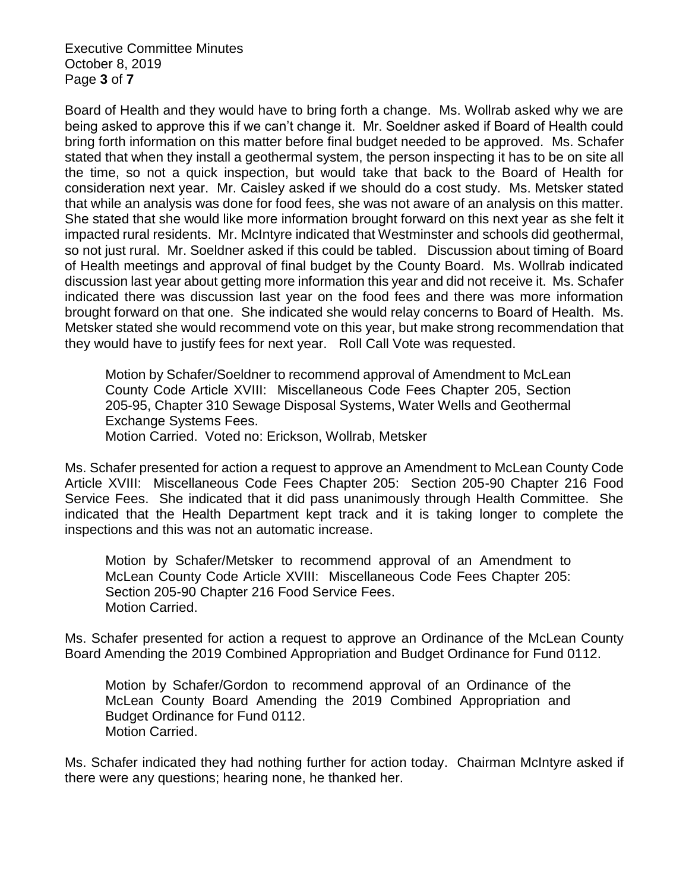Executive Committee Minutes October 8, 2019 Page **3** of **7**

Board of Health and they would have to bring forth a change. Ms. Wollrab asked why we are being asked to approve this if we can't change it. Mr. Soeldner asked if Board of Health could bring forth information on this matter before final budget needed to be approved. Ms. Schafer stated that when they install a geothermal system, the person inspecting it has to be on site all the time, so not a quick inspection, but would take that back to the Board of Health for consideration next year. Mr. Caisley asked if we should do a cost study. Ms. Metsker stated that while an analysis was done for food fees, she was not aware of an analysis on this matter. She stated that she would like more information brought forward on this next year as she felt it impacted rural residents. Mr. McIntyre indicated that Westminster and schools did geothermal, so not just rural. Mr. Soeldner asked if this could be tabled. Discussion about timing of Board of Health meetings and approval of final budget by the County Board. Ms. Wollrab indicated discussion last year about getting more information this year and did not receive it. Ms. Schafer indicated there was discussion last year on the food fees and there was more information brought forward on that one. She indicated she would relay concerns to Board of Health. Ms. Metsker stated she would recommend vote on this year, but make strong recommendation that they would have to justify fees for next year. Roll Call Vote was requested.

Motion by Schafer/Soeldner to recommend approval of Amendment to McLean County Code Article XVIII: Miscellaneous Code Fees Chapter 205, Section 205-95, Chapter 310 Sewage Disposal Systems, Water Wells and Geothermal Exchange Systems Fees.

Motion Carried. Voted no: Erickson, Wollrab, Metsker

Ms. Schafer presented for action a request to approve an Amendment to McLean County Code Article XVIII: Miscellaneous Code Fees Chapter 205: Section 205-90 Chapter 216 Food Service Fees. She indicated that it did pass unanimously through Health Committee. She indicated that the Health Department kept track and it is taking longer to complete the inspections and this was not an automatic increase.

Motion by Schafer/Metsker to recommend approval of an Amendment to McLean County Code Article XVIII: Miscellaneous Code Fees Chapter 205: Section 205-90 Chapter 216 Food Service Fees. Motion Carried.

Ms. Schafer presented for action a request to approve an Ordinance of the McLean County Board Amending the 2019 Combined Appropriation and Budget Ordinance for Fund 0112.

Motion by Schafer/Gordon to recommend approval of an Ordinance of the McLean County Board Amending the 2019 Combined Appropriation and Budget Ordinance for Fund 0112. Motion Carried.

Ms. Schafer indicated they had nothing further for action today. Chairman McIntyre asked if there were any questions; hearing none, he thanked her.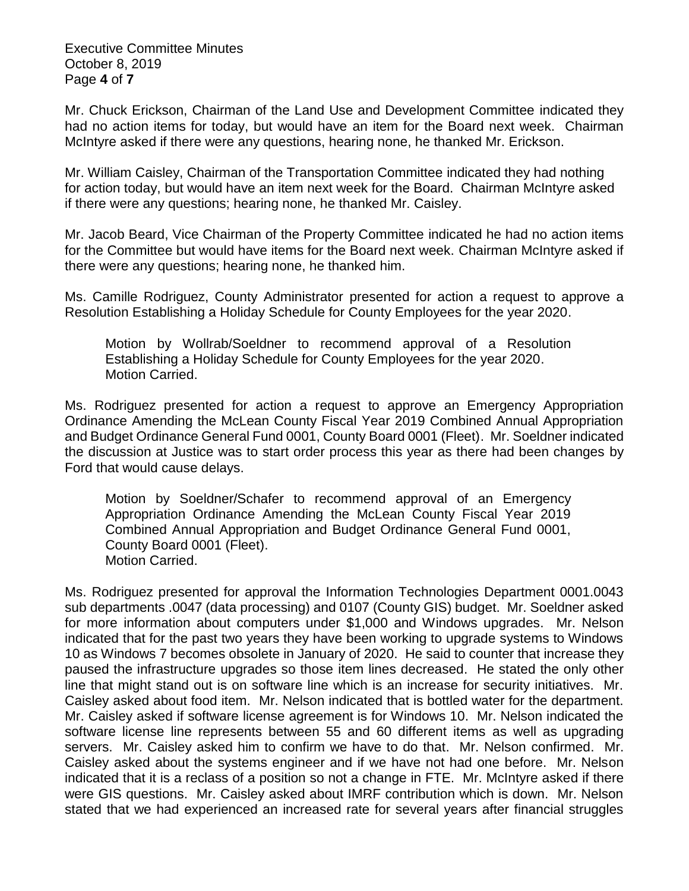Executive Committee Minutes October 8, 2019 Page **4** of **7**

Mr. Chuck Erickson, Chairman of the Land Use and Development Committee indicated they had no action items for today, but would have an item for the Board next week. Chairman McIntyre asked if there were any questions, hearing none, he thanked Mr. Erickson.

Mr. William Caisley, Chairman of the Transportation Committee indicated they had nothing for action today, but would have an item next week for the Board. Chairman McIntyre asked if there were any questions; hearing none, he thanked Mr. Caisley.

Mr. Jacob Beard, Vice Chairman of the Property Committee indicated he had no action items for the Committee but would have items for the Board next week. Chairman McIntyre asked if there were any questions; hearing none, he thanked him.

Ms. Camille Rodriguez, County Administrator presented for action a request to approve a Resolution Establishing a Holiday Schedule for County Employees for the year 2020.

Motion by Wollrab/Soeldner to recommend approval of a Resolution Establishing a Holiday Schedule for County Employees for the year 2020. Motion Carried.

Ms. Rodriguez presented for action a request to approve an Emergency Appropriation Ordinance Amending the McLean County Fiscal Year 2019 Combined Annual Appropriation and Budget Ordinance General Fund 0001, County Board 0001 (Fleet). Mr. Soeldner indicated the discussion at Justice was to start order process this year as there had been changes by Ford that would cause delays.

Motion by Soeldner/Schafer to recommend approval of an Emergency Appropriation Ordinance Amending the McLean County Fiscal Year 2019 Combined Annual Appropriation and Budget Ordinance General Fund 0001, County Board 0001 (Fleet). Motion Carried.

Ms. Rodriguez presented for approval the Information Technologies Department 0001.0043 sub departments .0047 (data processing) and 0107 (County GIS) budget. Mr. Soeldner asked for more information about computers under \$1,000 and Windows upgrades. Mr. Nelson indicated that for the past two years they have been working to upgrade systems to Windows 10 as Windows 7 becomes obsolete in January of 2020. He said to counter that increase they paused the infrastructure upgrades so those item lines decreased. He stated the only other line that might stand out is on software line which is an increase for security initiatives. Mr. Caisley asked about food item. Mr. Nelson indicated that is bottled water for the department. Mr. Caisley asked if software license agreement is for Windows 10. Mr. Nelson indicated the software license line represents between 55 and 60 different items as well as upgrading servers. Mr. Caisley asked him to confirm we have to do that. Mr. Nelson confirmed. Mr. Caisley asked about the systems engineer and if we have not had one before. Mr. Nelson indicated that it is a reclass of a position so not a change in FTE. Mr. McIntyre asked if there were GIS questions. Mr. Caisley asked about IMRF contribution which is down. Mr. Nelson stated that we had experienced an increased rate for several years after financial struggles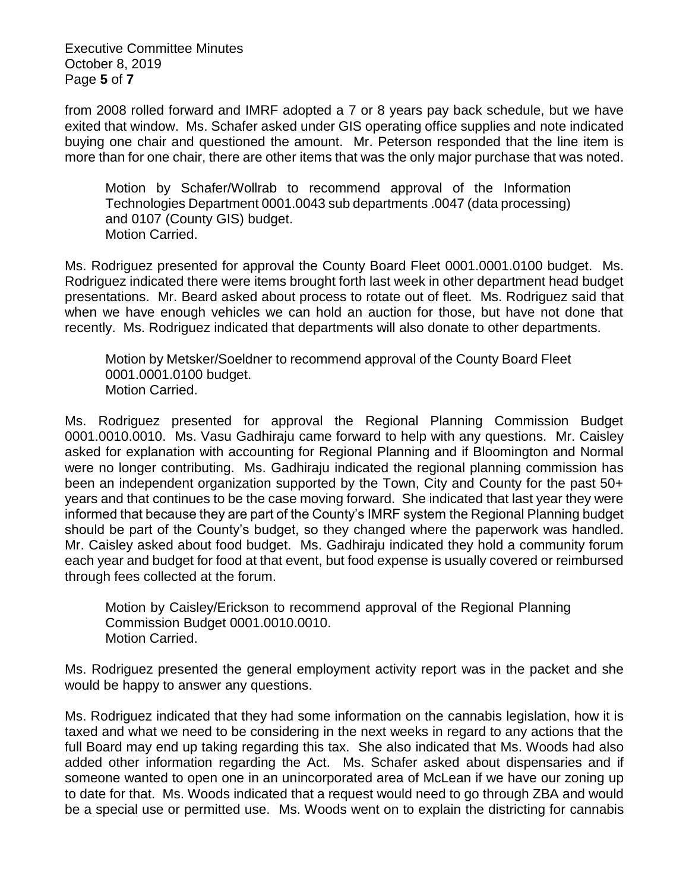Executive Committee Minutes October 8, 2019 Page **5** of **7**

from 2008 rolled forward and IMRF adopted a 7 or 8 years pay back schedule, but we have exited that window. Ms. Schafer asked under GIS operating office supplies and note indicated buying one chair and questioned the amount. Mr. Peterson responded that the line item is more than for one chair, there are other items that was the only major purchase that was noted.

Motion by Schafer/Wollrab to recommend approval of the Information Technologies Department 0001.0043 sub departments .0047 (data processing) and 0107 (County GIS) budget. Motion Carried.

Ms. Rodriguez presented for approval the County Board Fleet 0001.0001.0100 budget. Ms. Rodriguez indicated there were items brought forth last week in other department head budget presentations. Mr. Beard asked about process to rotate out of fleet. Ms. Rodriguez said that when we have enough vehicles we can hold an auction for those, but have not done that recently. Ms. Rodriguez indicated that departments will also donate to other departments.

Motion by Metsker/Soeldner to recommend approval of the County Board Fleet 0001.0001.0100 budget. Motion Carried.

Ms. Rodriguez presented for approval the Regional Planning Commission Budget 0001.0010.0010. Ms. Vasu Gadhiraju came forward to help with any questions. Mr. Caisley asked for explanation with accounting for Regional Planning and if Bloomington and Normal were no longer contributing. Ms. Gadhiraju indicated the regional planning commission has been an independent organization supported by the Town, City and County for the past 50+ years and that continues to be the case moving forward. She indicated that last year they were informed that because they are part of the County's IMRF system the Regional Planning budget should be part of the County's budget, so they changed where the paperwork was handled. Mr. Caisley asked about food budget. Ms. Gadhiraju indicated they hold a community forum each year and budget for food at that event, but food expense is usually covered or reimbursed through fees collected at the forum.

Motion by Caisley/Erickson to recommend approval of the Regional Planning Commission Budget 0001.0010.0010. Motion Carried.

Ms. Rodriguez presented the general employment activity report was in the packet and she would be happy to answer any questions.

Ms. Rodriguez indicated that they had some information on the cannabis legislation, how it is taxed and what we need to be considering in the next weeks in regard to any actions that the full Board may end up taking regarding this tax. She also indicated that Ms. Woods had also added other information regarding the Act. Ms. Schafer asked about dispensaries and if someone wanted to open one in an unincorporated area of McLean if we have our zoning up to date for that. Ms. Woods indicated that a request would need to go through ZBA and would be a special use or permitted use. Ms. Woods went on to explain the districting for cannabis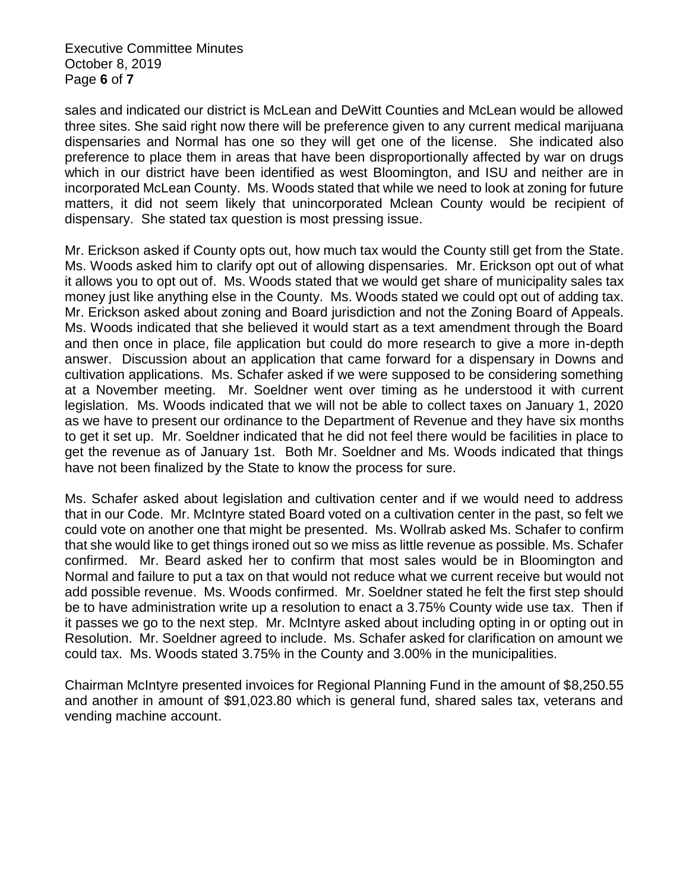Executive Committee Minutes October 8, 2019 Page **6** of **7**

sales and indicated our district is McLean and DeWitt Counties and McLean would be allowed three sites. She said right now there will be preference given to any current medical marijuana dispensaries and Normal has one so they will get one of the license. She indicated also preference to place them in areas that have been disproportionally affected by war on drugs which in our district have been identified as west Bloomington, and ISU and neither are in incorporated McLean County. Ms. Woods stated that while we need to look at zoning for future matters, it did not seem likely that unincorporated Mclean County would be recipient of dispensary. She stated tax question is most pressing issue.

Mr. Erickson asked if County opts out, how much tax would the County still get from the State. Ms. Woods asked him to clarify opt out of allowing dispensaries. Mr. Erickson opt out of what it allows you to opt out of. Ms. Woods stated that we would get share of municipality sales tax money just like anything else in the County. Ms. Woods stated we could opt out of adding tax. Mr. Erickson asked about zoning and Board jurisdiction and not the Zoning Board of Appeals. Ms. Woods indicated that she believed it would start as a text amendment through the Board and then once in place, file application but could do more research to give a more in-depth answer. Discussion about an application that came forward for a dispensary in Downs and cultivation applications. Ms. Schafer asked if we were supposed to be considering something at a November meeting. Mr. Soeldner went over timing as he understood it with current legislation. Ms. Woods indicated that we will not be able to collect taxes on January 1, 2020 as we have to present our ordinance to the Department of Revenue and they have six months to get it set up. Mr. Soeldner indicated that he did not feel there would be facilities in place to get the revenue as of January 1st. Both Mr. Soeldner and Ms. Woods indicated that things have not been finalized by the State to know the process for sure.

Ms. Schafer asked about legislation and cultivation center and if we would need to address that in our Code. Mr. McIntyre stated Board voted on a cultivation center in the past, so felt we could vote on another one that might be presented. Ms. Wollrab asked Ms. Schafer to confirm that she would like to get things ironed out so we miss as little revenue as possible. Ms. Schafer confirmed. Mr. Beard asked her to confirm that most sales would be in Bloomington and Normal and failure to put a tax on that would not reduce what we current receive but would not add possible revenue. Ms. Woods confirmed. Mr. Soeldner stated he felt the first step should be to have administration write up a resolution to enact a 3.75% County wide use tax. Then if it passes we go to the next step. Mr. McIntyre asked about including opting in or opting out in Resolution. Mr. Soeldner agreed to include. Ms. Schafer asked for clarification on amount we could tax. Ms. Woods stated 3.75% in the County and 3.00% in the municipalities.

Chairman McIntyre presented invoices for Regional Planning Fund in the amount of \$8,250.55 and another in amount of \$91,023.80 which is general fund, shared sales tax, veterans and vending machine account.